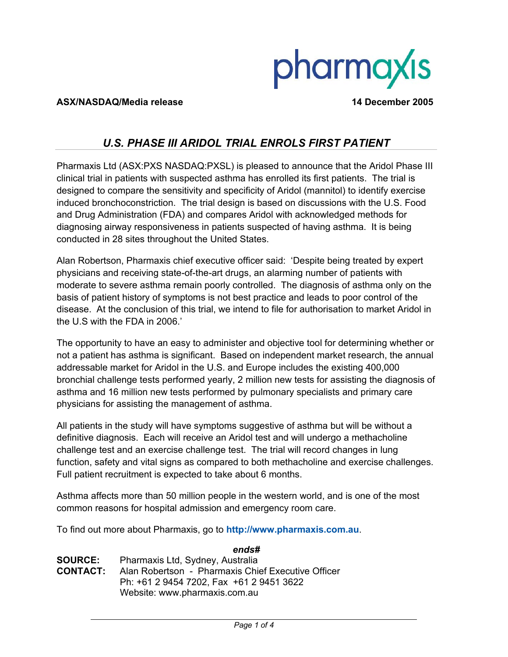# pharmaxis

#### **ASX/NASDAQ/Media release 14 December 2005**

## *U.S. PHASE III ARIDOL TRIAL ENROLS FIRST PATIENT*

Pharmaxis Ltd (ASX:PXS NASDAQ:PXSL) is pleased to announce that the Aridol Phase III clinical trial in patients with suspected asthma has enrolled its first patients. The trial is designed to compare the sensitivity and specificity of Aridol (mannitol) to identify exercise induced bronchoconstriction. The trial design is based on discussions with the U.S. Food and Drug Administration (FDA) and compares Aridol with acknowledged methods for diagnosing airway responsiveness in patients suspected of having asthma. It is being conducted in 28 sites throughout the United States.

Alan Robertson, Pharmaxis chief executive officer said: 'Despite being treated by expert physicians and receiving state-of-the-art drugs, an alarming number of patients with moderate to severe asthma remain poorly controlled. The diagnosis of asthma only on the basis of patient history of symptoms is not best practice and leads to poor control of the disease. At the conclusion of this trial, we intend to file for authorisation to market Aridol in the U.S with the FDA in 2006.'

The opportunity to have an easy to administer and objective tool for determining whether or not a patient has asthma is significant. Based on independent market research, the annual addressable market for Aridol in the U.S. and Europe includes the existing 400,000 bronchial challenge tests performed yearly, 2 million new tests for assisting the diagnosis of asthma and 16 million new tests performed by pulmonary specialists and primary care physicians for assisting the management of asthma.

All patients in the study will have symptoms suggestive of asthma but will be without a definitive diagnosis. Each will receive an Aridol test and will undergo a methacholine challenge test and an exercise challenge test. The trial will record changes in lung function, safety and vital signs as compared to both methacholine and exercise challenges. Full patient recruitment is expected to take about 6 months.

Asthma affects more than 50 million people in the western world, and is one of the most common reasons for hospital admission and emergency room care.

To find out more about Pharmaxis, go to **http://www.pharmaxis.com.au**.

*ends#*  **SOURCE:** Pharmaxis Ltd, Sydney, Australia **CONTACT:** Alan Robertson - Pharmaxis Chief Executive Officer Ph: +61 2 9454 7202, Fax +61 2 9451 3622 Website: www.pharmaxis.com.au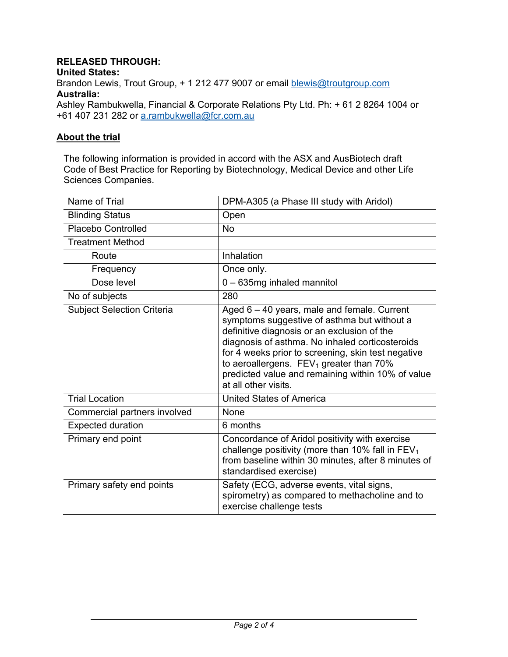### **RELEASED THROUGH:**

**United States:** 

Brandon Lewis, Trout Group, + 1 212 477 9007 or email blewis@troutgroup.com **Australia:** 

Ashley Rambukwella, Financial & Corporate Relations Pty Ltd. Ph: + 61 2 8264 1004 or +61 407 231 282 or a.rambukwella@fcr.com.au

#### **About the trial**

The following information is provided in accord with the ASX and AusBiotech draft Code of Best Practice for Reporting by Biotechnology, Medical Device and other Life Sciences Companies.

| Name of Trial                     | DPM-A305 (a Phase III study with Aridol)                                                                                                                                                                                                                                                                                                                                     |
|-----------------------------------|------------------------------------------------------------------------------------------------------------------------------------------------------------------------------------------------------------------------------------------------------------------------------------------------------------------------------------------------------------------------------|
| <b>Blinding Status</b>            | Open                                                                                                                                                                                                                                                                                                                                                                         |
| <b>Placebo Controlled</b>         | <b>No</b>                                                                                                                                                                                                                                                                                                                                                                    |
| <b>Treatment Method</b>           |                                                                                                                                                                                                                                                                                                                                                                              |
| Route                             | Inhalation                                                                                                                                                                                                                                                                                                                                                                   |
| Frequency                         | Once only.                                                                                                                                                                                                                                                                                                                                                                   |
| Dose level                        | 0 - 635mg inhaled mannitol                                                                                                                                                                                                                                                                                                                                                   |
| No of subjects                    | 280                                                                                                                                                                                                                                                                                                                                                                          |
| <b>Subject Selection Criteria</b> | Aged 6 - 40 years, male and female. Current<br>symptoms suggestive of asthma but without a<br>definitive diagnosis or an exclusion of the<br>diagnosis of asthma. No inhaled corticosteroids<br>for 4 weeks prior to screening, skin test negative<br>to aeroallergens. $FEV1$ greater than 70%<br>predicted value and remaining within 10% of value<br>at all other visits. |
| <b>Trial Location</b>             | <b>United States of America</b>                                                                                                                                                                                                                                                                                                                                              |
| Commercial partners involved      | None                                                                                                                                                                                                                                                                                                                                                                         |
| <b>Expected duration</b>          | 6 months                                                                                                                                                                                                                                                                                                                                                                     |
| Primary end point                 | Concordance of Aridol positivity with exercise<br>challenge positivity (more than 10% fall in $FEV1$<br>from baseline within 30 minutes, after 8 minutes of<br>standardised exercise)                                                                                                                                                                                        |
| Primary safety end points         | Safety (ECG, adverse events, vital signs,<br>spirometry) as compared to methacholine and to<br>exercise challenge tests                                                                                                                                                                                                                                                      |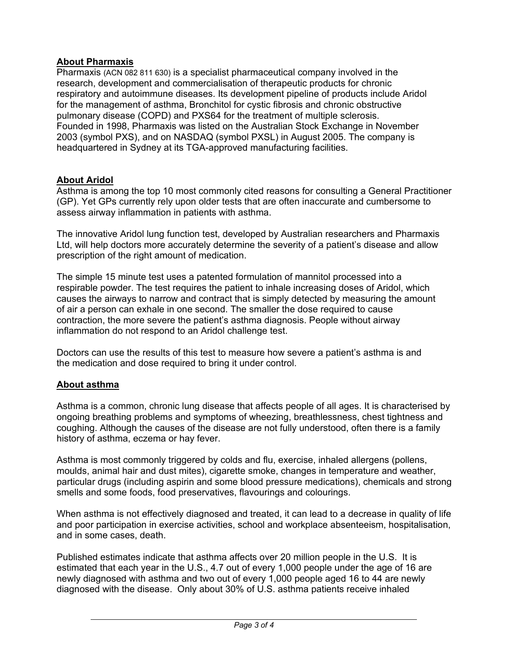#### **About Pharmaxis**

Pharmaxis (ACN 082 811 630) is a specialist pharmaceutical company involved in the research, development and commercialisation of therapeutic products for chronic respiratory and autoimmune diseases. Its development pipeline of products include Aridol for the management of asthma, Bronchitol for cystic fibrosis and chronic obstructive pulmonary disease (COPD) and PXS64 for the treatment of multiple sclerosis. Founded in 1998, Pharmaxis was listed on the Australian Stock Exchange in November 2003 (symbol PXS), and on NASDAQ (symbol PXSL) in August 2005. The company is headquartered in Sydney at its TGA-approved manufacturing facilities.

#### **About Aridol**

Asthma is among the top 10 most commonly cited reasons for consulting a General Practitioner (GP). Yet GPs currently rely upon older tests that are often inaccurate and cumbersome to assess airway inflammation in patients with asthma.

The innovative Aridol lung function test, developed by Australian researchers and Pharmaxis Ltd, will help doctors more accurately determine the severity of a patient's disease and allow prescription of the right amount of medication.

The simple 15 minute test uses a patented formulation of mannitol processed into a respirable powder. The test requires the patient to inhale increasing doses of Aridol, which causes the airways to narrow and contract that is simply detected by measuring the amount of air a person can exhale in one second. The smaller the dose required to cause contraction, the more severe the patient's asthma diagnosis. People without airway inflammation do not respond to an Aridol challenge test.

Doctors can use the results of this test to measure how severe a patient's asthma is and the medication and dose required to bring it under control.

#### **About asthma**

Asthma is a common, chronic lung disease that affects people of all ages. It is characterised by ongoing breathing problems and symptoms of wheezing, breathlessness, chest tightness and coughing. Although the causes of the disease are not fully understood, often there is a family history of asthma, eczema or hay fever.

Asthma is most commonly triggered by colds and flu, exercise, inhaled allergens (pollens, moulds, animal hair and dust mites), cigarette smoke, changes in temperature and weather, particular drugs (including aspirin and some blood pressure medications), chemicals and strong smells and some foods, food preservatives, flavourings and colourings.

When asthma is not effectively diagnosed and treated, it can lead to a decrease in quality of life and poor participation in exercise activities, school and workplace absenteeism, hospitalisation, and in some cases, death.

Published estimates indicate that asthma affects over 20 million people in the U.S. It is estimated that each year in the U.S., 4.7 out of every 1,000 people under the age of 16 are newly diagnosed with asthma and two out of every 1,000 people aged 16 to 44 are newly diagnosed with the disease. Only about 30% of U.S. asthma patients receive inhaled